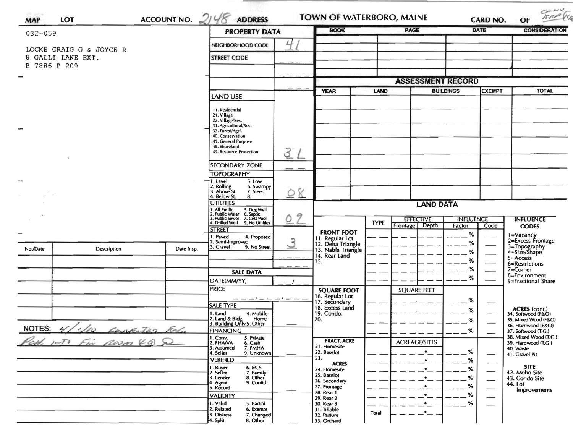| <b>MAP</b>                                   | <b>LOT</b>                 | ACCOUNT NO. $2148$                                              | <b>ADDRESS</b>                                                                                                           | <b>TOWN OF WATERBORO, MAINE</b> |                                                           |                                      | CARD NO.                 |                  | TRAP (S)<br>OF |                                              |
|----------------------------------------------|----------------------------|-----------------------------------------------------------------|--------------------------------------------------------------------------------------------------------------------------|---------------------------------|-----------------------------------------------------------|--------------------------------------|--------------------------|------------------|----------------|----------------------------------------------|
| $032 - 059$                                  |                            |                                                                 | <b>PROPERTY DATA</b>                                                                                                     |                                 | <b>BOOK</b>                                               | <b>PAGE</b>                          |                          |                  | <b>DATE</b>    | <b>CONSIDERATION</b>                         |
|                                              |                            |                                                                 | NEIGHBORHOOD CODE                                                                                                        | 4                               |                                                           |                                      |                          |                  |                |                                              |
| LOCKE CRAIG G & JOYCE R<br>8 GALLI LANE EXT. |                            |                                                                 | <b>STREET CODE</b>                                                                                                       |                                 |                                                           |                                      |                          |                  |                |                                              |
|                                              | B 7886 P 209               |                                                                 |                                                                                                                          |                                 |                                                           |                                      |                          |                  |                |                                              |
|                                              |                            |                                                                 |                                                                                                                          |                                 |                                                           |                                      | <b>ASSESSMENT RECORD</b> |                  |                |                                              |
|                                              |                            |                                                                 |                                                                                                                          |                                 | <b>YEAR</b><br>LAND                                       |                                      |                          | <b>BUILDINGS</b> | <b>TOTAL</b>   |                                              |
|                                              |                            |                                                                 | <b>LAND USE</b>                                                                                                          |                                 |                                                           |                                      |                          |                  | <b>EXEMPT</b>  |                                              |
|                                              |                            |                                                                 | 11. Residential                                                                                                          |                                 |                                                           |                                      |                          |                  |                |                                              |
|                                              |                            | 21. Village<br>22. Village/Res.                                 |                                                                                                                          |                                 |                                                           |                                      |                          |                  |                |                                              |
|                                              |                            |                                                                 | 31. Agricultural/Res.<br>33. Forest/Agri.                                                                                |                                 |                                                           |                                      |                          |                  |                |                                              |
|                                              |                            |                                                                 | 40. Conservation<br>45. General Purpose                                                                                  |                                 |                                                           |                                      |                          |                  |                |                                              |
|                                              |                            |                                                                 | 48. Shoreland                                                                                                            |                                 |                                                           |                                      |                          |                  |                |                                              |
|                                              |                            |                                                                 | 49. Resource Protection                                                                                                  | 31                              |                                                           |                                      |                          |                  |                |                                              |
|                                              |                            |                                                                 | <b>SECONDARY ZONE</b>                                                                                                    |                                 |                                                           |                                      |                          |                  |                |                                              |
|                                              |                            |                                                                 | <b>TOPOGRAPHY</b>                                                                                                        |                                 |                                                           |                                      |                          |                  |                |                                              |
|                                              |                            |                                                                 | †1. Level<br>5. Low<br>2. Rolling<br>3. Above St.<br>6. Swampy                                                           |                                 |                                                           |                                      |                          |                  |                |                                              |
|                                              |                            |                                                                 | 7. Steep<br>4. Below St.<br>8.                                                                                           | 8<br>$\circ$                    |                                                           |                                      |                          |                  |                |                                              |
|                                              |                            |                                                                 | <b>UTILITIES</b>                                                                                                         |                                 | <b>LAND DATA</b>                                          |                                      |                          |                  |                |                                              |
|                                              |                            |                                                                 | 1. All Public 5. Dug Well<br>2. Public Water 6. Septic<br>3. Public Sewer 7. Cess Pool<br>4. Drilled Well 9. No Utilitie | 9<br>Q                          |                                                           | <b>EFFECTIVE</b><br><b>INFLUENCE</b> |                          |                  |                | <b>INFLUENCE</b>                             |
|                                              |                            |                                                                 | 9. No Utilities<br><b>STREET</b>                                                                                         |                                 |                                                           | <b>TYPE</b>                          | Depth<br>Frontage        | Factor           | Code           | <b>CODES</b>                                 |
|                                              |                            |                                                                 | 1. Paved<br>4. Proposed                                                                                                  |                                 | <b>FRONT FOOT</b><br>11. Regular Lot                      |                                      |                          | $\%$             |                | 1=Vacancy<br>2=Excess Frontage               |
| No./Date                                     | Description                | Date Insp.                                                      | 2. Semi-Improved<br>3. Gravel<br>9. No Street                                                                            | $\mathcal{S}$                   | 12. Delta Triangle<br>13. Nabla Triangle<br>14. Rear Land |                                      |                          | ℅                |                | 3=Topography<br>4=Size/Shape                 |
|                                              |                            |                                                                 |                                                                                                                          |                                 |                                                           |                                      |                          | %                |                | $5 =$ Access                                 |
|                                              |                            |                                                                 |                                                                                                                          |                                 | ۱5.                                                       |                                      |                          | ℅<br>%           |                | 6=Restrictions<br>$7 =$ Corner               |
|                                              |                            |                                                                 | <b>SALE DATA</b>                                                                                                         |                                 |                                                           |                                      |                          | %                |                | 8=Environment                                |
|                                              |                            |                                                                 | DATE(MM/YY)<br>PRICE                                                                                                     |                                 |                                                           |                                      |                          |                  |                | 9=Fractional Share                           |
|                                              |                            |                                                                 |                                                                                                                          |                                 | <b>SQUARE FOOT</b><br>16. Regular Lot<br>17. Secondary    |                                      | <b>SQUARE FEET</b>       |                  |                |                                              |
|                                              |                            |                                                                 | <b>SALE TYPE</b>                                                                                                         |                                 | 18. Excess Land                                           |                                      |                          | %                |                |                                              |
|                                              |                            |                                                                 | 4. Mobile<br>1. Land                                                                                                     |                                 | 19. Condo.                                                |                                      |                          | %                |                | ACRES (cont.)<br>34. Softwood (F&O)          |
|                                              | NOTES: 4/10 CONVENTED ROLL |                                                                 | 2. Land & Bldg. Home<br>3. Building Only 5. Other<br>Home                                                                |                                 | 20.                                                       |                                      |                          | %                |                | 35. Mixed Wood (F&O)<br>36. Hardwood (F&O)   |
|                                              |                            |                                                                 | <b>FINANCING</b><br>1. Conv.<br>5. Private                                                                               |                                 |                                                           |                                      |                          | %                |                | 37. Softwood (T.G.)<br>38. Mixed Wood (T.G.) |
| Pett 1-To Fin Noom 49) &                     |                            |                                                                 | 2. FHAVA<br>6. Cash<br>7. FMHA<br>3. Assumed                                                                             |                                 | <b>FRACT. ACRE</b><br>21. Homesite                        |                                      | <b>ACREAGE/SITES</b>     |                  |                | 39. Hardwood (T.G.)                          |
|                                              |                            |                                                                 | 4. Seller<br>9. Unknown                                                                                                  |                                 | 22. 8aselot                                               |                                      |                          |                  |                | 40. Waste<br>41. Gravel Pit                  |
|                                              |                            |                                                                 | <b>VERIFIED</b>                                                                                                          |                                 | 23.<br><b>ACRES</b>                                       |                                      |                          |                  |                | <b>SITE</b>                                  |
|                                              |                            | 1. Buyer<br>2. Seller<br><b>6. MLS</b><br>7. Family<br>8. Other |                                                                                                                          | 24. Homesite<br>25. Baselot     |                                                           |                                      |                          |                  | 42. Moho Site  |                                              |
|                                              |                            |                                                                 | 3. Lender<br>9. Confid.<br>4. Agent                                                                                      |                                 | 26. Secondary<br>27. Frontage                             |                                      |                          |                  |                | 43. Condo Site<br>44. Lot                    |
|                                              |                            | 5. Record<br><b>VALIDITY</b>                                    |                                                                                                                          | 28. Rear 1                      |                                                           |                                      | %                        |                  | Improvements   |                                              |
|                                              |                            |                                                                 | 1. Valid<br>5. Partial                                                                                                   |                                 | 29. Rear 2<br>30. Rear 3                                  |                                      |                          | %                |                |                                              |
|                                              |                            | 2. Related<br>6. Exempt<br>3. Distress<br>7. Changed            |                                                                                                                          | 31. Tillable<br>32. Pasture     | Total                                                     |                                      |                          |                  |                |                                              |
|                                              |                            |                                                                 | 4. Split<br>8. Other                                                                                                     |                                 | 33. Orchard                                               |                                      |                          |                  |                |                                              |